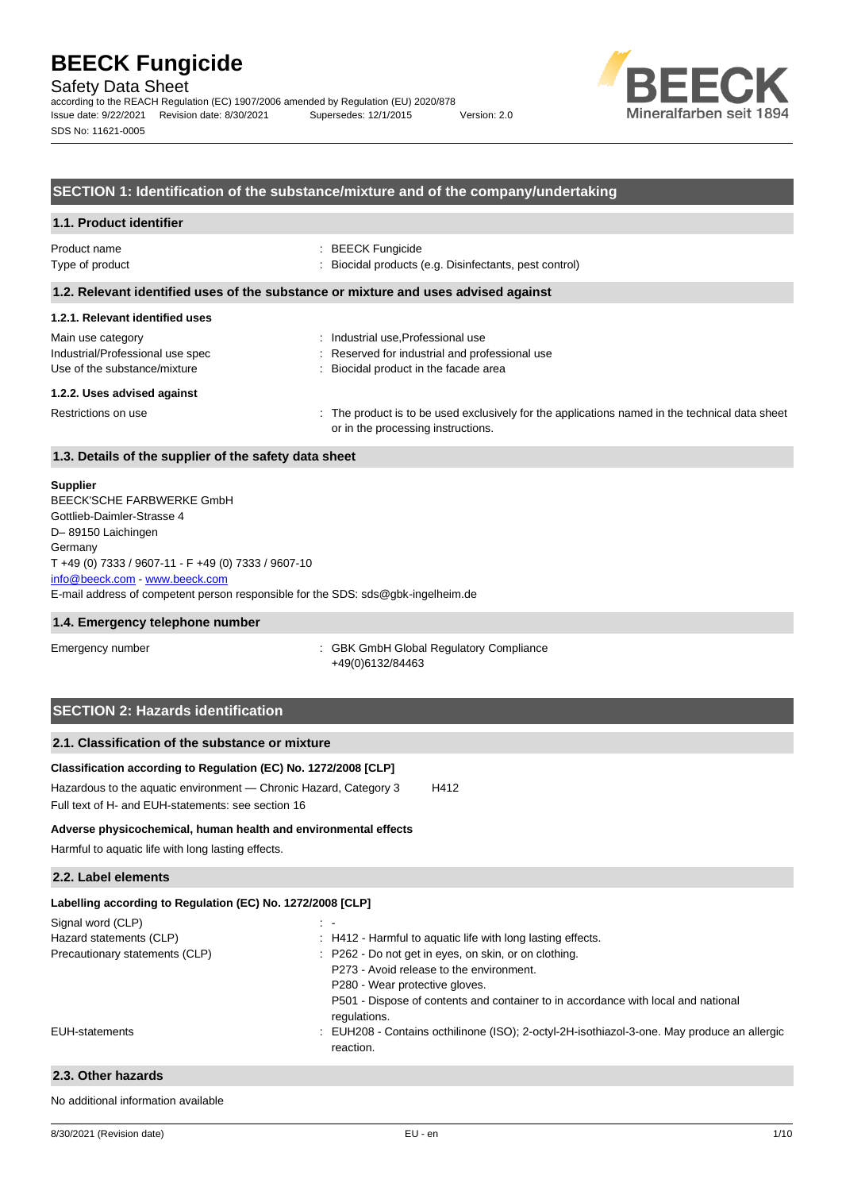Safety Data Sheet

according to the REACH Regulation (EC) 1907/2006 amended by Regulation (EU) 2020/878 Issue date: 9/22/2021 Revision date: 8/30/2021 Supersedes: 12/1/2015 Version: 2.0 SDS No: 11621-0005



### **SECTION 1: Identification of the substance/mixture and of the company/undertaking**

| 1.1. Product identifier                                                            |                                                                                        |  |  |
|------------------------------------------------------------------------------------|----------------------------------------------------------------------------------------|--|--|
| Product name<br>Type of product                                                    | $\therefore$ BEECK Fungicide<br>: Biocidal products (e.g. Disinfectants, pest control) |  |  |
| 1.2. Relevant identified uses of the substance or mixture and uses advised against |                                                                                        |  |  |

# **1.2.1. Relevant identified uses**

| Main use category                | Industrial use, Professional use                                                                                                     |
|----------------------------------|--------------------------------------------------------------------------------------------------------------------------------------|
| Industrial/Professional use spec | : Reserved for industrial and professional use                                                                                       |
| Use of the substance/mixture     | Biocidal product in the facade area                                                                                                  |
| 1.2.2. Uses advised against      |                                                                                                                                      |
| Restrictions on use              | : The product is to be used exclusively for the applications named in the technical data sheet<br>or in the processing instructions. |

#### **1.3. Details of the supplier of the safety data sheet**

#### **Supplier**

E-mail address of competent person responsible for the SDS: sds@gbk-ingelheim.de BEECK'SCHE FARBWERKE GmbH Gottlieb-Daimler-Strasse 4 D– 89150 Laichingen **Germany** T +49 (0) 7333 / 9607-11 - F +49 (0) 7333 / 9607-10 [info@beeck.com](mailto:info@beeck.com) - [www.beeck.com](http://www.beeck.com/)

#### **1.4. Emergency telephone number**

Emergency number **Emergency** number **1996** COMERGING COMPLIANCE: GBK GmbH Global Regulatory Compliance +49(0)6132/84463

# **SECTION 2: Hazards identification**

# **2.1. Classification of the substance or mixture**

**Classification according to Regulation (EC) No. 1272/2008 [CLP]** Hazardous to the aquatic environment - Chronic Hazard, Category 3 H412 Full text of H- and EUH-statements: see section 16

#### **Adverse physicochemical, human health and environmental effects**

Harmful to aquatic life with long lasting effects.

#### **2.2. Label elements**

| Labelling according to Regulation (EC) No. 1272/2008 [CLP] |                                                                                                          |  |  |  |
|------------------------------------------------------------|----------------------------------------------------------------------------------------------------------|--|--|--|
| Signal word (CLP)                                          | $\sim$ 10 $\pm$                                                                                          |  |  |  |
| Hazard statements (CLP)                                    | : H412 - Harmful to aquatic life with long lasting effects.                                              |  |  |  |
| Precautionary statements (CLP)                             | : P262 - Do not get in eyes, on skin, or on clothing.                                                    |  |  |  |
|                                                            | P273 - Avoid release to the environment.                                                                 |  |  |  |
|                                                            | P280 - Wear protective gloves.                                                                           |  |  |  |
|                                                            | P501 - Dispose of contents and container to in accordance with local and national                        |  |  |  |
|                                                            | regulations.                                                                                             |  |  |  |
| EUH-statements                                             | : EUH208 - Contains octhilinone (ISO); 2-octyl-2H-isothiazol-3-one. May produce an allergic<br>reaction. |  |  |  |
|                                                            |                                                                                                          |  |  |  |

### **2.3. Other hazards**

No additional information available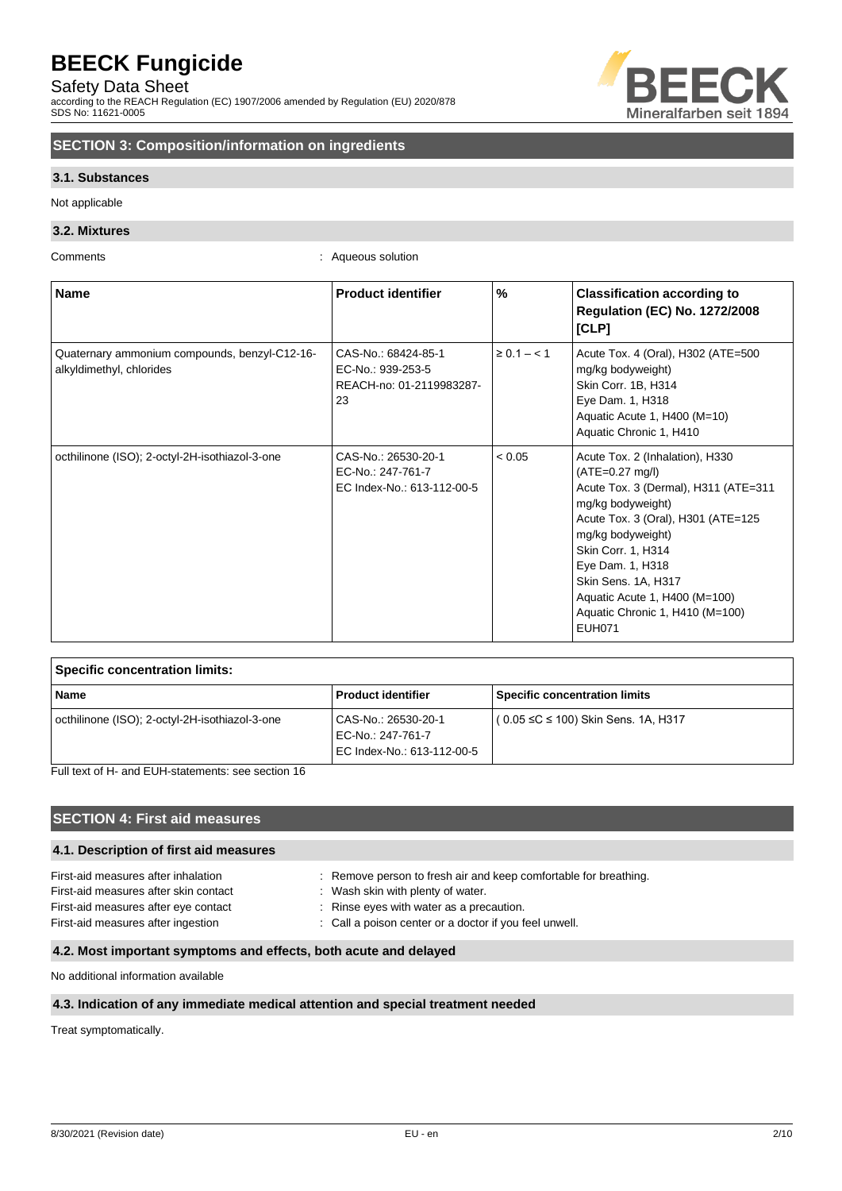Safety Data Sheet

according to the REACH Regulation (EC) 1907/2006 amended by Regulation (EU) 2020/878 SDS No: 11621-0005



# **SECTION 3: Composition/information on ingredients**

### **3.1. Substances**

Not applicable

### **3.2. Mixtures**

Comments : Aqueous solution

| <b>Name</b>                                                               | <b>Product identifier</b>                                                  | %               | <b>Classification according to</b><br><b>Regulation (EC) No. 1272/2008</b><br>[CLP]                                                                                                                                                                                                                                                |
|---------------------------------------------------------------------------|----------------------------------------------------------------------------|-----------------|------------------------------------------------------------------------------------------------------------------------------------------------------------------------------------------------------------------------------------------------------------------------------------------------------------------------------------|
| Quaternary ammonium compounds, benzyl-C12-16-<br>alkyldimethyl, chlorides | CAS-No.: 68424-85-1<br>EC-No.: 939-253-5<br>REACH-no: 01-2119983287-<br>23 | $\ge 0.1 - 1.1$ | Acute Tox. 4 (Oral), H302 (ATE=500<br>mg/kg bodyweight)<br>Skin Corr. 1B, H314<br>Eye Dam. 1, H318<br>Aquatic Acute 1, H400 (M=10)<br>Aquatic Chronic 1, H410                                                                                                                                                                      |
| octhilinone (ISO); 2-octyl-2H-isothiazol-3-one                            | CAS-No.: 26530-20-1<br>EC-No.: 247-761-7<br>EC Index-No.: 613-112-00-5     | < 0.05          | Acute Tox. 2 (Inhalation), H330<br>$(ATE=0.27 mg/l)$<br>Acute Tox. 3 (Dermal), H311 (ATE=311<br>mg/kg bodyweight)<br>Acute Tox. 3 (Oral), H301 (ATE=125<br>mg/kg bodyweight)<br>Skin Corr. 1, H314<br>Eye Dam. 1, H318<br>Skin Sens. 1A, H317<br>Aquatic Acute 1, H400 (M=100)<br>Aquatic Chronic 1, H410 (M=100)<br><b>EUH071</b> |

| <b>Specific concentration limits:</b>          |                                                                        |                                      |  |  |
|------------------------------------------------|------------------------------------------------------------------------|--------------------------------------|--|--|
| <b>Name</b>                                    | <b>Product identifier</b>                                              | <b>Specific concentration limits</b> |  |  |
| octhilinone (ISO); 2-octyl-2H-isothiazol-3-one | CAS-No.: 26530-20-1<br>EC-No.: 247-761-7<br>EC Index-No.: 613-112-00-5 | ( 0.05 ≤C ≤ 100) Skin Sens. 1A, H317 |  |  |

Full text of H- and EUH-statements: see section 16

# **SECTION 4: First aid measures**

### **4.1. Description of first aid measures**

| First-aid measures after inhalation   |
|---------------------------------------|
| First-aid measures after skin contact |
| First-aid measures after eye contact  |
| First-aid measures after ingestion    |

: Remove person to fresh air and keep comfortable for breathing. : Wash skin with plenty of water. : Rinse eyes with water as a precaution.

: Call a poison center or a doctor if you feel unwell.

## **4.2. Most important symptoms and effects, both acute and delayed**

No additional information available

#### **4.3. Indication of any immediate medical attention and special treatment needed**

Treat symptomatically.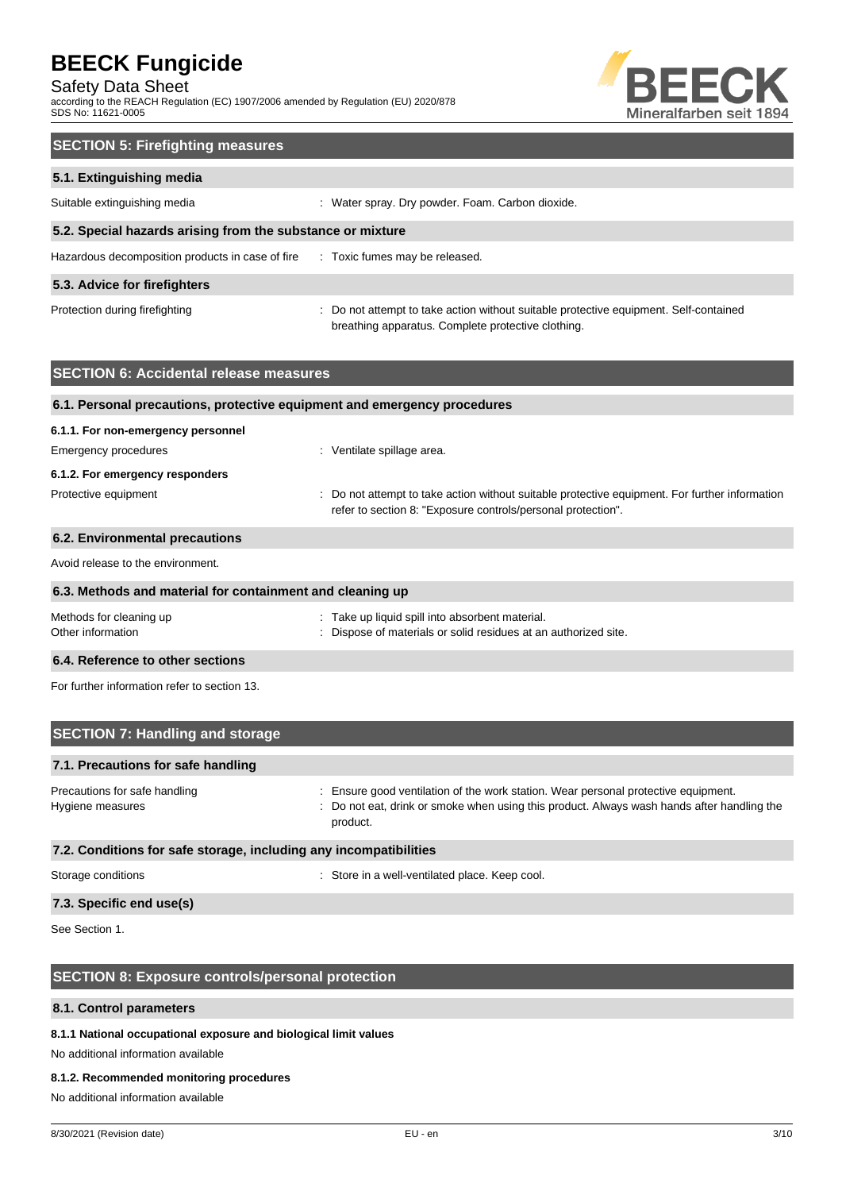Safety Data Sheet

according to the REACH Regulation (EC) 1907/2006 amended by Regulation (EU) 2020/878 SDS No: 11621-0005



| <b>SECTION 5: Firefighting measures</b>                    |                                                                                                                                             |  |  |  |
|------------------------------------------------------------|---------------------------------------------------------------------------------------------------------------------------------------------|--|--|--|
| 5.1. Extinguishing media                                   |                                                                                                                                             |  |  |  |
| Suitable extinguishing media                               | : Water spray. Dry powder. Foam. Carbon dioxide.                                                                                            |  |  |  |
| 5.2. Special hazards arising from the substance or mixture |                                                                                                                                             |  |  |  |
| Hazardous decomposition products in case of fire           | : Toxic fumes may be released.                                                                                                              |  |  |  |
| 5.3. Advice for firefighters                               |                                                                                                                                             |  |  |  |
| Protection during firefighting                             | : Do not attempt to take action without suitable protective equipment. Self-contained<br>breathing apparatus. Complete protective clothing. |  |  |  |

| <b>SECTION 6: Accidental release measures</b>             |                                                                                                                                                                |
|-----------------------------------------------------------|----------------------------------------------------------------------------------------------------------------------------------------------------------------|
|                                                           | 6.1. Personal precautions, protective equipment and emergency procedures                                                                                       |
| 6.1.1. For non-emergency personnel                        |                                                                                                                                                                |
| Emergency procedures                                      | : Ventilate spillage area.                                                                                                                                     |
| 6.1.2. For emergency responders                           |                                                                                                                                                                |
| Protective equipment                                      | : Do not attempt to take action without suitable protective equipment. For further information<br>refer to section 8: "Exposure controls/personal protection". |
| 6.2. Environmental precautions                            |                                                                                                                                                                |
| Avoid release to the environment.                         |                                                                                                                                                                |
| 6.3. Methods and material for containment and cleaning up |                                                                                                                                                                |
| Methods for cleaning up<br>Other information              | : Take up liquid spill into absorbent material.<br>: Dispose of materials or solid residues at an authorized site.                                             |
| 6.4. Reference to other sections                          |                                                                                                                                                                |
| For further information refer to section 13.              |                                                                                                                                                                |

| <b>SECTION 7: Handling and storage</b>            |                                                                                                                                                                                              |
|---------------------------------------------------|----------------------------------------------------------------------------------------------------------------------------------------------------------------------------------------------|
| 7.1. Precautions for safe handling                |                                                                                                                                                                                              |
| Precautions for safe handling<br>Hygiene measures | : Ensure good ventilation of the work station. Wear personal protective equipment.<br>: Do not eat, drink or smoke when using this product. Always wash hands after handling the<br>product. |

### **7.2. Conditions for safe storage, including any incompatibilities**

Storage conditions **Storage conditions** : Store in a well-ventilated place. Keep cool.

# **7.3. Specific end use(s)**

See Section 1.

# **SECTION 8: Exposure controls/personal protection**

#### **8.1. Control parameters**

# **8.1.1 National occupational exposure and biological limit values**

No additional information available

#### **8.1.2. Recommended monitoring procedures**

No additional information available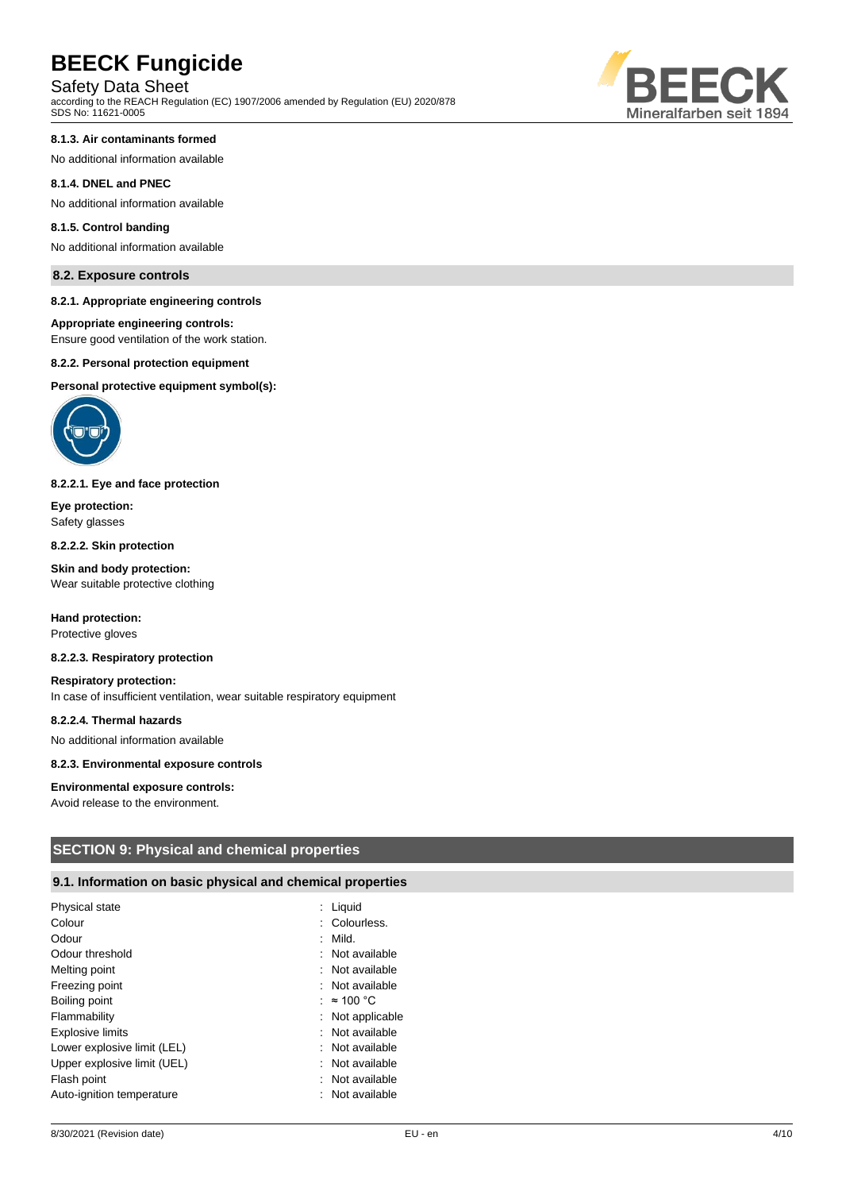Safety Data Sheet

according to the REACH Regulation (EC) 1907/2006 amended by Regulation (EU) 2020/878 SDS No: 11621-0005



No additional information available

#### **8.1.4. DNEL and PNEC**

No additional information available

#### **8.1.5. Control banding**

No additional information available

## **8.2. Exposure controls**

#### **8.2.1. Appropriate engineering controls**

#### **Appropriate engineering controls:**

Ensure good ventilation of the work station.

#### **8.2.2. Personal protection equipment**

#### **Personal protective equipment symbol(s):**



#### **8.2.2.1. Eye and face protection**

**Eye protection:** Safety glasses

#### **8.2.2.2. Skin protection**

**Skin and body protection:** Wear suitable protective clothing

#### **Hand protection:** Protective gloves

#### **8.2.2.3. Respiratory protection**

**Respiratory protection:** In case of insufficient ventilation, wear suitable respiratory equipment

#### **8.2.2.4. Thermal hazards**

No additional information available

#### **8.2.3. Environmental exposure controls**

#### **Environmental exposure controls:**

Avoid release to the environment.

# **SECTION 9: Physical and chemical properties**

### **9.1. Information on basic physical and chemical properties**

| Physical state<br>Colour<br>Odour<br>Odour threshold<br>Melting point<br>Freezing point<br>Boiling point<br>Flammability<br><b>Explosive limits</b><br>Lower explosive limit (LEL)<br>Upper explosive limit (UEL) | Liquid<br>Colourless.<br>Mild.<br>: Not available<br>: Not available<br>: Not available<br>$\approx$ 100 °C<br>: Not applicable<br>: Not available<br>: Not available<br>: Not available |
|-------------------------------------------------------------------------------------------------------------------------------------------------------------------------------------------------------------------|------------------------------------------------------------------------------------------------------------------------------------------------------------------------------------------|
| Flash point<br>Auto-ignition temperature                                                                                                                                                                          | Not available<br>Not available                                                                                                                                                           |

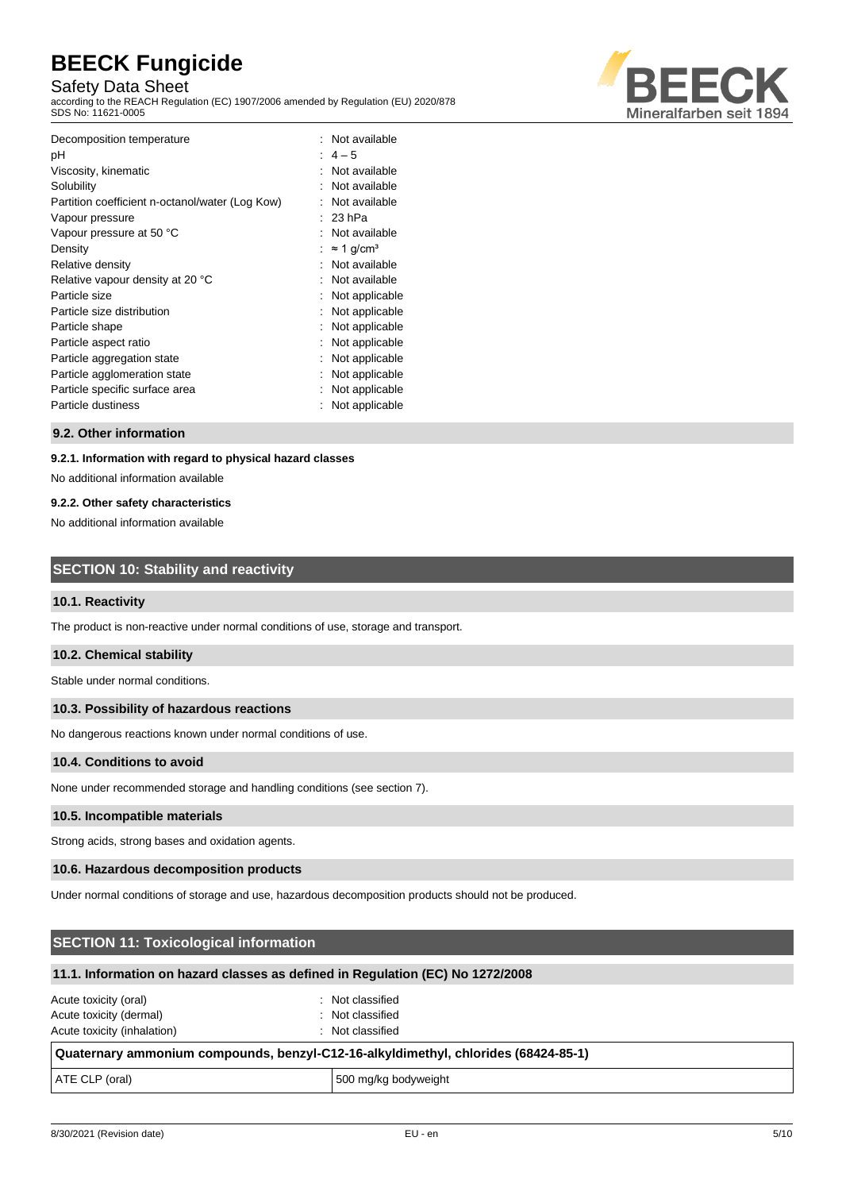# Safety Data Sheet

according to the REACH Regulation (EC) 1907/2006 amended by Regulation (EU) 2020/878 SDS No: 11621-0005



| Decomposition temperature<br>рH<br>Viscosity, kinematic<br>Solubility<br>Partition coefficient n-octanol/water (Log Kow)<br>Vapour pressure<br>Vapour pressure at 50 °C<br>Density<br>Relative density<br>Relative vapour density at 20 °C<br>Particle size<br>Particle size distribution<br>Particle shape<br>Particle aspect ratio<br>Particle aggregation state<br>Particle agglomeration state | : Not available<br>$: 4-5$<br>Not available<br>Not available<br>Not available<br>23 <sub>hPa</sub><br>Not available<br>$\approx$ 1 g/cm <sup>3</sup><br>Not available<br>Not available<br>Not applicable<br>Not applicable<br>Not applicable<br>Not applicable<br>Not applicable<br>Not applicable |
|----------------------------------------------------------------------------------------------------------------------------------------------------------------------------------------------------------------------------------------------------------------------------------------------------------------------------------------------------------------------------------------------------|----------------------------------------------------------------------------------------------------------------------------------------------------------------------------------------------------------------------------------------------------------------------------------------------------|
|                                                                                                                                                                                                                                                                                                                                                                                                    |                                                                                                                                                                                                                                                                                                    |
| Particle specific surface area                                                                                                                                                                                                                                                                                                                                                                     | Not applicable                                                                                                                                                                                                                                                                                     |
| Particle dustiness                                                                                                                                                                                                                                                                                                                                                                                 | Not applicable                                                                                                                                                                                                                                                                                     |

#### **9.2. Other information**

#### **9.2.1. Information with regard to physical hazard classes**

No additional information available

#### **9.2.2. Other safety characteristics**

No additional information available

# **SECTION 10: Stability and reactivity**

#### **10.1. Reactivity**

The product is non-reactive under normal conditions of use, storage and transport.

#### **10.2. Chemical stability**

Stable under normal conditions.

#### **10.3. Possibility of hazardous reactions**

No dangerous reactions known under normal conditions of use.

#### **10.4. Conditions to avoid**

None under recommended storage and handling conditions (see section 7).

#### **10.5. Incompatible materials**

Strong acids, strong bases and oxidation agents.

#### **10.6. Hazardous decomposition products**

Under normal conditions of storage and use, hazardous decomposition products should not be produced.

# **SECTION 11: Toxicological information**

### **11.1. Information on hazard classes as defined in Regulation (EC) No 1272/2008**

| Acute toxicity (oral)       | : Not classified |
|-----------------------------|------------------|
| Acute toxicity (dermal)     | : Not classified |
| Acute toxicity (inhalation) | : Not classified |

#### **Quaternary ammonium compounds, benzyl-C12-16-alkyldimethyl, chlorides (68424-85-1)**

ATE CLP (oral) and the state of the state of the state of 500 mg/kg bodyweight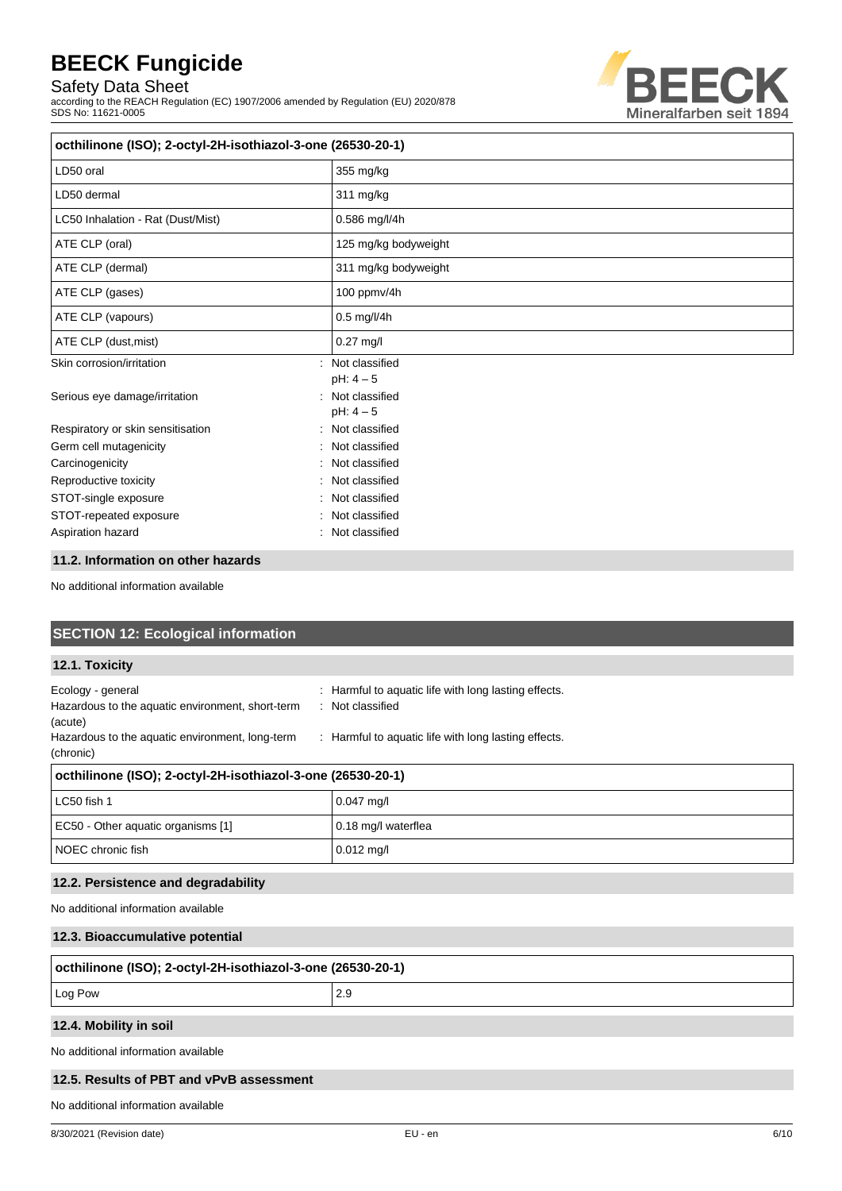Safety Data Sheet

according to the REACH Regulation (EC) 1907/2006 amended by Regulation (EU) 2020/878 SDS No: 11621-0005



| octhilinone (ISO); 2-octyl-2H-isothiazol-3-one (26530-20-1) |                                   |  |
|-------------------------------------------------------------|-----------------------------------|--|
| LD50 oral                                                   | 355 mg/kg                         |  |
| LD50 dermal                                                 | 311 mg/kg                         |  |
| LC50 Inhalation - Rat (Dust/Mist)                           | 0.586 mg/l/4h                     |  |
| ATE CLP (oral)                                              | 125 mg/kg bodyweight              |  |
| ATE CLP (dermal)                                            | 311 mg/kg bodyweight              |  |
| ATE CLP (gases)                                             | 100 ppmv/4h                       |  |
| ATE CLP (vapours)                                           | 0.5 mg/l/4h                       |  |
| ATE CLP (dust, mist)                                        | $0.27$ mg/l                       |  |
| Skin corrosion/irritation                                   | Not classified<br>÷<br>$pH: 4-5$  |  |
| Serious eye damage/irritation                               | Not classified<br>۰.<br>$pH: 4-5$ |  |
| Respiratory or skin sensitisation                           | Not classified<br>÷               |  |
| Germ cell mutagenicity                                      | Not classified                    |  |
| Carcinogenicity                                             | Not classified                    |  |
| Reproductive toxicity                                       | Not classified                    |  |
| STOT-single exposure                                        | Not classified                    |  |
| STOT-repeated exposure                                      | Not classified                    |  |
| Aspiration hazard                                           | Not classified                    |  |

#### **11.2. Information on other hazards**

No additional information available

| <b>SECTION 12: Ecological information</b>                                                                                                        |                                                                                                                                |  |
|--------------------------------------------------------------------------------------------------------------------------------------------------|--------------------------------------------------------------------------------------------------------------------------------|--|
| 12.1. Toxicity                                                                                                                                   |                                                                                                                                |  |
| Ecology - general<br>Hazardous to the aquatic environment, short-term<br>(acute)<br>Hazardous to the aquatic environment, long-term<br>(chronic) | Harmful to aquatic life with long lasting effects.<br>: Not classified<br>: Harmful to aquatic life with long lasting effects. |  |
| octhilinone (ISO); 2-octyl-2H-isothiazol-3-one (26530-20-1)                                                                                      |                                                                                                                                |  |
| LC50 fish 1                                                                                                                                      | $0.047$ mg/l                                                                                                                   |  |
| EC50 - Other aquatic organisms [1]                                                                                                               | 0.18 mg/l waterflea                                                                                                            |  |
| NOEC chronic fish                                                                                                                                | $0.012$ mg/l                                                                                                                   |  |
| 12.2. Persistence and degradability                                                                                                              |                                                                                                                                |  |
| No additional information available                                                                                                              |                                                                                                                                |  |
| 12.3. Bioaccumulative potential                                                                                                                  |                                                                                                                                |  |
| octhilinone (ISO); 2-octyl-2H-isothiazol-3-one (26530-20-1)                                                                                      |                                                                                                                                |  |
| Log Pow                                                                                                                                          | 2.9                                                                                                                            |  |
| 12.4. Mobility in soil                                                                                                                           |                                                                                                                                |  |

No additional information available

#### **12.5. Results of PBT and vPvB assessment**

No additional information available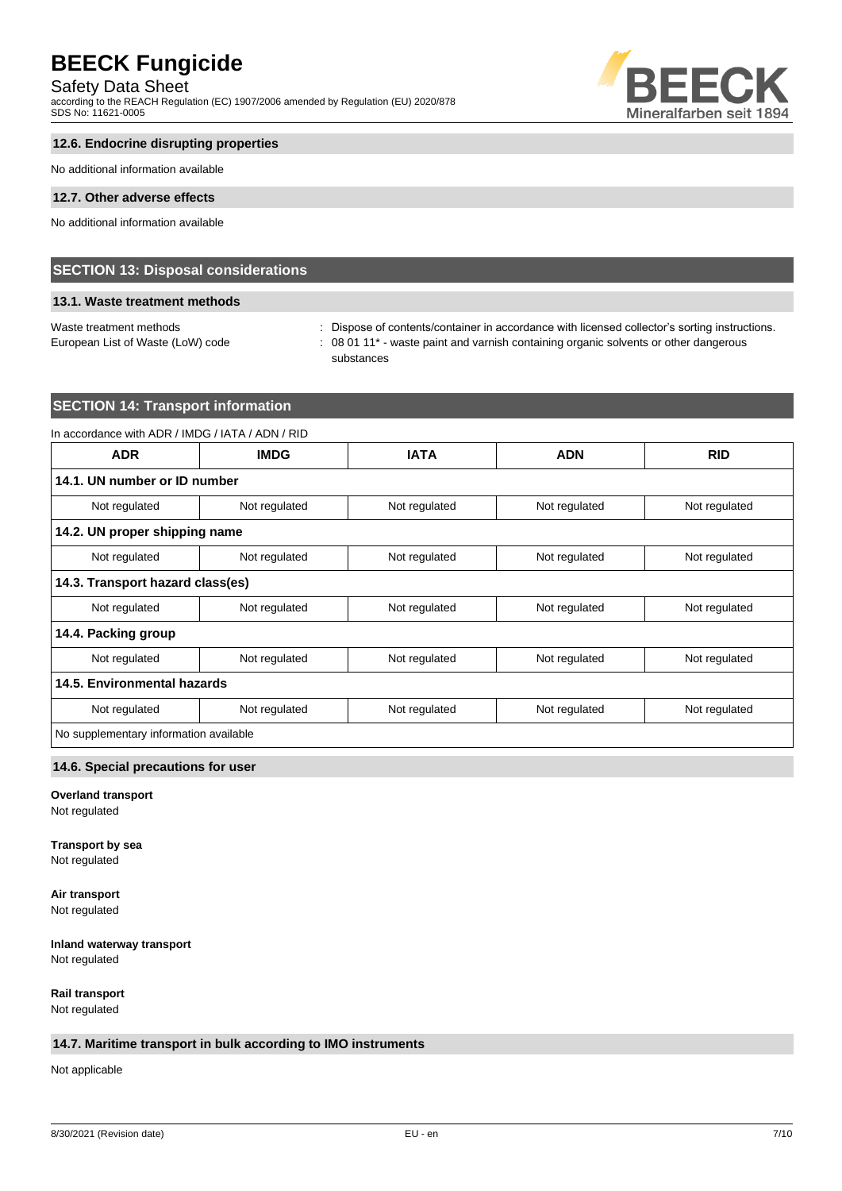Safety Data Sheet

according to the REACH Regulation (EC) 1907/2006 amended by Regulation (EU) 2020/878 SDS No: 11621-0005



# **12.6. Endocrine disrupting properties**

No additional information available

#### **12.7. Other adverse effects**

No additional information available

# **SECTION 13: Disposal considerations**

#### **13.1. Waste treatment methods**

Waste treatment methods : Dispose of contents/container in accordance with licensed collector's sorting instructions. European List of Waste (LoW) code : 08 01 11<sup>\*</sup> - waste paint and varnish containing organic solvents or other dangerous substances

# **SECTION 14: Transport information**

| In accordance with ADR / IMDG / IATA / ADN / RID |               |               |               |               |
|--------------------------------------------------|---------------|---------------|---------------|---------------|
| <b>ADR</b>                                       | <b>IMDG</b>   | <b>IATA</b>   | <b>ADN</b>    | <b>RID</b>    |
| 14.1. UN number or ID number                     |               |               |               |               |
| Not regulated                                    | Not regulated | Not regulated | Not regulated | Not regulated |
| 14.2. UN proper shipping name                    |               |               |               |               |
| Not regulated                                    | Not regulated | Not regulated | Not regulated | Not regulated |
| 14.3. Transport hazard class(es)                 |               |               |               |               |
| Not regulated                                    | Not regulated | Not regulated | Not regulated | Not regulated |
| 14.4. Packing group                              |               |               |               |               |
| Not regulated                                    | Not regulated | Not regulated | Not regulated | Not regulated |
| 14.5. Environmental hazards                      |               |               |               |               |
| Not regulated                                    | Not regulated | Not regulated | Not regulated | Not regulated |
| No supplementary information available           |               |               |               |               |
|                                                  |               |               |               |               |

# **14.6. Special precautions for user**

# **Overland transport**

Not regulated

#### **Transport by sea**

Not regulated

# **Air transport**

Not regulated

# **Inland waterway transport**

Not regulated

**Rail transport** Not regulated

### **14.7. Maritime transport in bulk according to IMO instruments**

Not applicable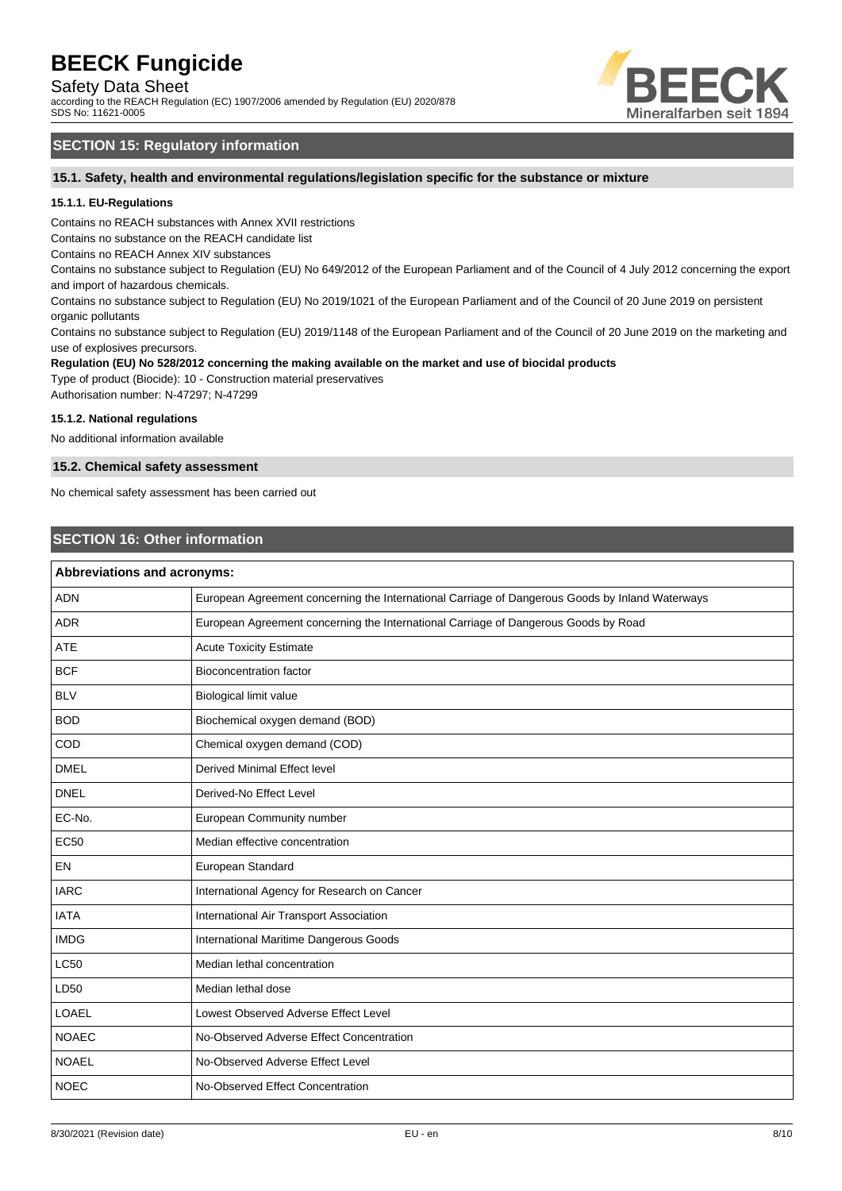Safety Data Sheet

according to the REACH Regulation (EC) 1907/2006 amended by Regulation (EU) 2020/878 SDS No: 11621-0005



# **SECTION 15: Regulatory information**

#### **15.1. Safety, health and environmental regulations/legislation specific for the substance or mixture**

#### **15.1.1. EU-Regulations**

Contains no REACH substances with Annex XVII restrictions

Contains no substance on the REACH candidate list

Contains no REACH Annex XIV substances

Contains no substance subject to Regulation (EU) No 649/2012 of the European Parliament and of the Council of 4 July 2012 concerning the export and import of hazardous chemicals.

Contains no substance subject to Regulation (EU) No 2019/1021 of the European Parliament and of the Council of 20 June 2019 on persistent organic pollutants

Contains no substance subject to Regulation (EU) 2019/1148 of the European Parliament and of the Council of 20 June 2019 on the marketing and use of explosives precursors.

# **Regulation (EU) No 528/2012 concerning the making available on the market and use of biocidal products**

Type of product (Biocide): 10 - Construction material preservatives Authorisation number: N-47297; N-47299

#### **15.1.2. National regulations**

No additional information available

#### **15.2. Chemical safety assessment**

No chemical safety assessment has been carried out

# **SECTION 16: Other information**

| Abbreviations and acronyms:                                                                     |  |
|-------------------------------------------------------------------------------------------------|--|
| European Agreement concerning the International Carriage of Dangerous Goods by Inland Waterways |  |
| European Agreement concerning the International Carriage of Dangerous Goods by Road             |  |
| <b>Acute Toxicity Estimate</b>                                                                  |  |
| <b>Bioconcentration factor</b>                                                                  |  |
| Biological limit value                                                                          |  |
| Biochemical oxygen demand (BOD)                                                                 |  |
| Chemical oxygen demand (COD)                                                                    |  |
| <b>Derived Minimal Effect level</b>                                                             |  |
| Derived-No Effect Level                                                                         |  |
| European Community number                                                                       |  |
| Median effective concentration                                                                  |  |
| European Standard                                                                               |  |
| International Agency for Research on Cancer                                                     |  |
| International Air Transport Association                                                         |  |
| International Maritime Dangerous Goods                                                          |  |
| Median lethal concentration                                                                     |  |
| Median lethal dose                                                                              |  |
| Lowest Observed Adverse Effect Level                                                            |  |
| No-Observed Adverse Effect Concentration                                                        |  |
| No-Observed Adverse Effect Level                                                                |  |
| No-Observed Effect Concentration                                                                |  |
|                                                                                                 |  |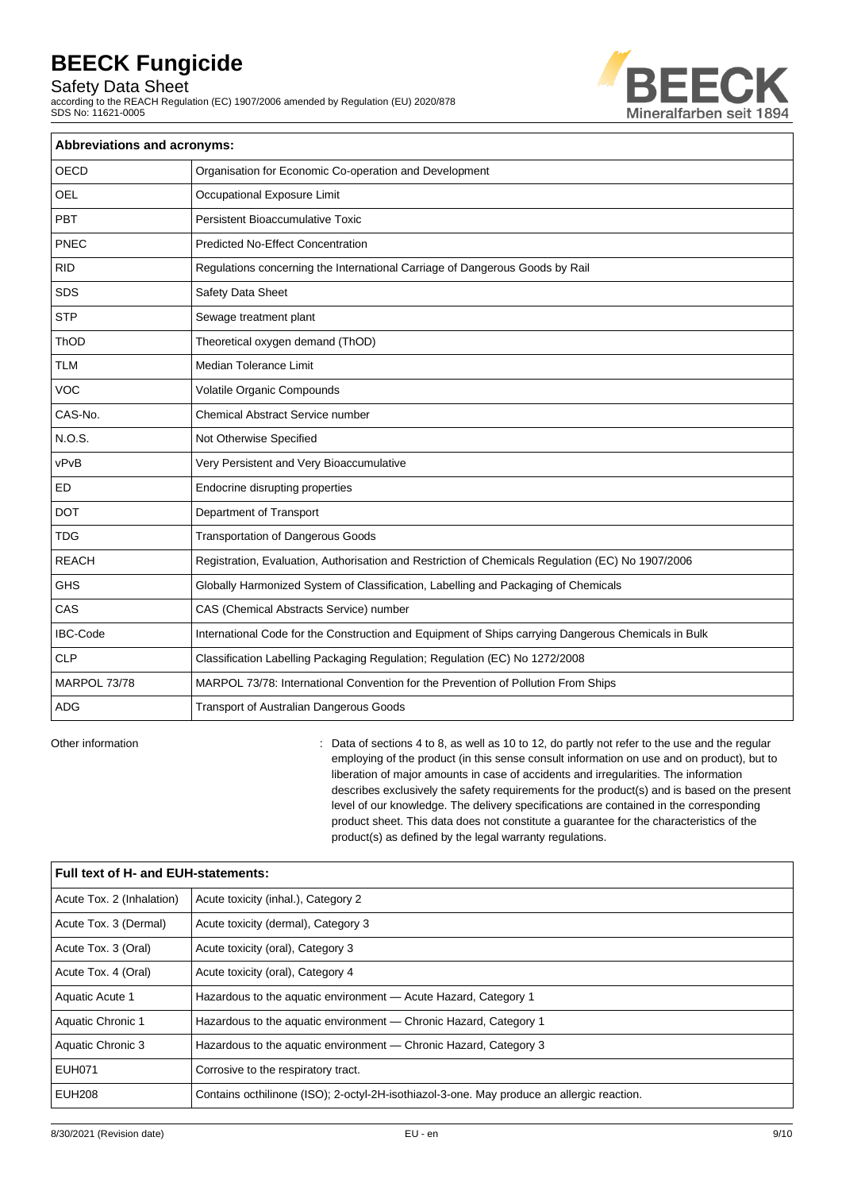Safety Data Sheet

according to the REACH Regulation (EC) 1907/2006 amended by Regulation (EU) 2020/878 SDS No: 11621-0005



| <b>Abbreviations and acronyms:</b> |                                                                                                     |  |
|------------------------------------|-----------------------------------------------------------------------------------------------------|--|
| <b>OECD</b>                        | Organisation for Economic Co-operation and Development                                              |  |
| <b>OEL</b>                         | Occupational Exposure Limit                                                                         |  |
| PBT                                | Persistent Bioaccumulative Toxic                                                                    |  |
| PNEC                               | <b>Predicted No-Effect Concentration</b>                                                            |  |
| <b>RID</b>                         | Regulations concerning the International Carriage of Dangerous Goods by Rail                        |  |
| <b>SDS</b>                         | Safety Data Sheet                                                                                   |  |
| <b>STP</b>                         | Sewage treatment plant                                                                              |  |
| ThOD                               | Theoretical oxygen demand (ThOD)                                                                    |  |
| <b>TLM</b>                         | <b>Median Tolerance Limit</b>                                                                       |  |
| <b>VOC</b>                         | Volatile Organic Compounds                                                                          |  |
| CAS-No.                            | <b>Chemical Abstract Service number</b>                                                             |  |
| N.O.S.                             | Not Otherwise Specified                                                                             |  |
| vPvB                               | Very Persistent and Very Bioaccumulative                                                            |  |
| ED                                 | Endocrine disrupting properties                                                                     |  |
| <b>DOT</b>                         | Department of Transport                                                                             |  |
| <b>TDG</b>                         | <b>Transportation of Dangerous Goods</b>                                                            |  |
| <b>REACH</b>                       | Registration, Evaluation, Authorisation and Restriction of Chemicals Regulation (EC) No 1907/2006   |  |
| <b>GHS</b>                         | Globally Harmonized System of Classification, Labelling and Packaging of Chemicals                  |  |
| CAS                                | CAS (Chemical Abstracts Service) number                                                             |  |
| <b>IBC-Code</b>                    | International Code for the Construction and Equipment of Ships carrying Dangerous Chemicals in Bulk |  |
| <b>CLP</b>                         | Classification Labelling Packaging Regulation; Regulation (EC) No 1272/2008                         |  |
| MARPOL 73/78                       | MARPOL 73/78: International Convention for the Prevention of Pollution From Ships                   |  |
| <b>ADG</b>                         | <b>Transport of Australian Dangerous Goods</b>                                                      |  |

Other information **come to accompute 10 to 3**, as well as 10 to 12, do partly not refer to the use and the regular employing of the product (in this sense consult information on use and on product), but to liberation of major amounts in case of accidents and irregularities. The information describes exclusively the safety requirements for the product(s) and is based on the present level of our knowledge. The delivery specifications are contained in the corresponding product sheet. This data does not constitute a guarantee for the characteristics of the product(s) as defined by the legal warranty regulations.

| Full text of H- and EUH-statements: |                                                                                            |  |
|-------------------------------------|--------------------------------------------------------------------------------------------|--|
| Acute Tox. 2 (Inhalation)           | Acute toxicity (inhal.), Category 2                                                        |  |
| Acute Tox. 3 (Dermal)               | Acute toxicity (dermal), Category 3                                                        |  |
| Acute Tox. 3 (Oral)                 | Acute toxicity (oral), Category 3                                                          |  |
| Acute Tox. 4 (Oral)                 | Acute toxicity (oral), Category 4                                                          |  |
| Aquatic Acute 1                     | Hazardous to the aquatic environment - Acute Hazard, Category 1                            |  |
| Aquatic Chronic 1                   | Hazardous to the aquatic environment - Chronic Hazard, Category 1                          |  |
| Aquatic Chronic 3                   | Hazardous to the aquatic environment — Chronic Hazard, Category 3                          |  |
| <b>EUH071</b>                       | Corrosive to the respiratory tract.                                                        |  |
| <b>EUH208</b>                       | Contains octhilinone (ISO); 2-octyl-2H-isothiazol-3-one. May produce an allergic reaction. |  |